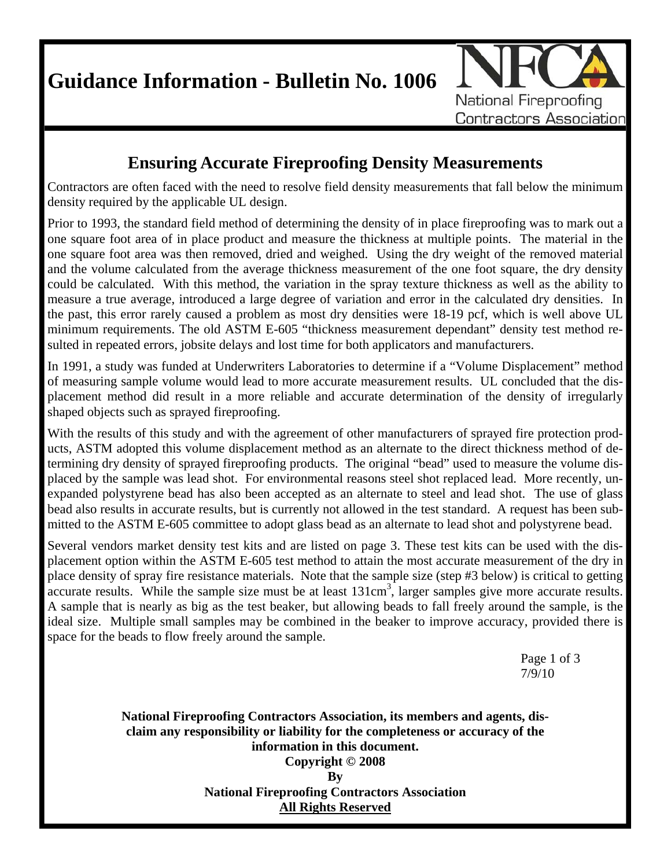**Guidance Information - Bulletin No. 1006** 



### **Ensuring Accurate Fireproofing Density Measurements**

Contractors are often faced with the need to resolve field density measurements that fall below the minimum density required by the applicable UL design.

Prior to 1993, the standard field method of determining the density of in place fireproofing was to mark out a one square foot area of in place product and measure the thickness at multiple points. The material in the one square foot area was then removed, dried and weighed. Using the dry weight of the removed material and the volume calculated from the average thickness measurement of the one foot square, the dry density could be calculated. With this method, the variation in the spray texture thickness as well as the ability to measure a true average, introduced a large degree of variation and error in the calculated dry densities. In the past, this error rarely caused a problem as most dry densities were 18-19 pcf, which is well above UL minimum requirements. The old ASTM E-605 "thickness measurement dependant" density test method resulted in repeated errors, jobsite delays and lost time for both applicators and manufacturers.

In 1991, a study was funded at Underwriters Laboratories to determine if a "Volume Displacement" method of measuring sample volume would lead to more accurate measurement results. UL concluded that the displacement method did result in a more reliable and accurate determination of the density of irregularly shaped objects such as sprayed fireproofing.

With the results of this study and with the agreement of other manufacturers of sprayed fire protection products, ASTM adopted this volume displacement method as an alternate to the direct thickness method of determining dry density of sprayed fireproofing products. The original "bead" used to measure the volume displaced by the sample was lead shot. For environmental reasons steel shot replaced lead. More recently, unexpanded polystyrene bead has also been accepted as an alternate to steel and lead shot. The use of glass bead also results in accurate results, but is currently not allowed in the test standard. A request has been submitted to the ASTM E-605 committee to adopt glass bead as an alternate to lead shot and polystyrene bead.

Several vendors market density test kits and are listed on page 3. These test kits can be used with the displacement option within the ASTM E-605 test method to attain the most accurate measurement of the dry in place density of spray fire resistance materials. Note that the sample size (step #3 below) is critical to getting accurate results. While the sample size must be at least 131cm<sup>3</sup>, larger samples give more accurate results. A sample that is nearly as big as the test beaker, but allowing beads to fall freely around the sample, is the ideal size. Multiple small samples may be combined in the beaker to improve accuracy, provided there is space for the beads to flow freely around the sample.

 Page 1 of 3 7/9/10

> **National Fireproofing Contractors Association, its members and agents, disclaim any responsibility or liability for the completeness or accuracy of the information in this document. Copyright © 2008 By National Fireproofing Contractors Association All Rights Reserved**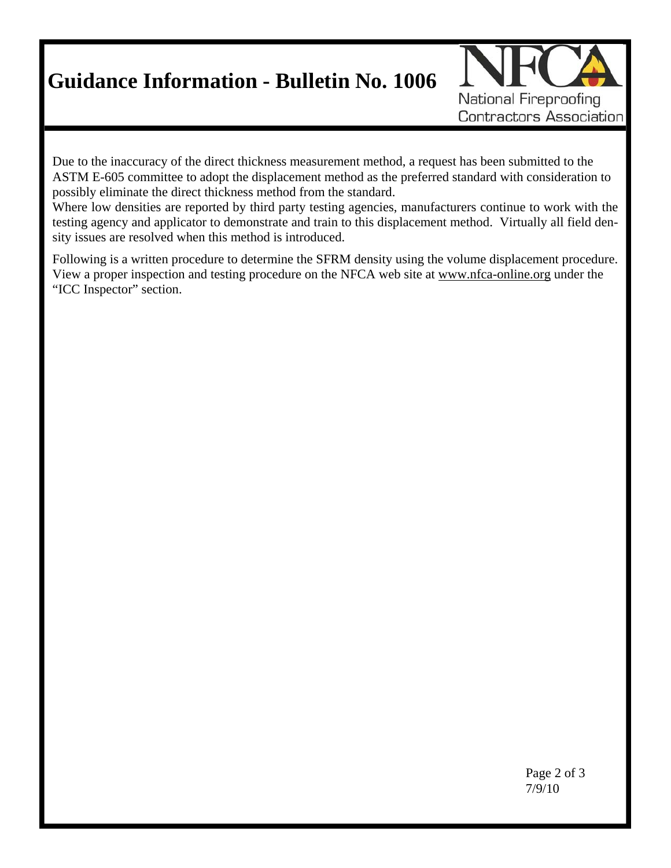# **Guidance Information - Bulletin No. 1006**



Due to the inaccuracy of the direct thickness measurement method, a request has been submitted to the ASTM E-605 committee to adopt the displacement method as the preferred standard with consideration to possibly eliminate the direct thickness method from the standard.

Where low densities are reported by third party testing agencies, manufacturers continue to work with the testing agency and applicator to demonstrate and train to this displacement method. Virtually all field density issues are resolved when this method is introduced.

Following is a written procedure to determine the SFRM density using the volume displacement procedure. View a proper inspection and testing procedure on the NFCA web site at www.nfca-online.org under the "ICC Inspector" section.

 Page 2 of 3 7/9/10